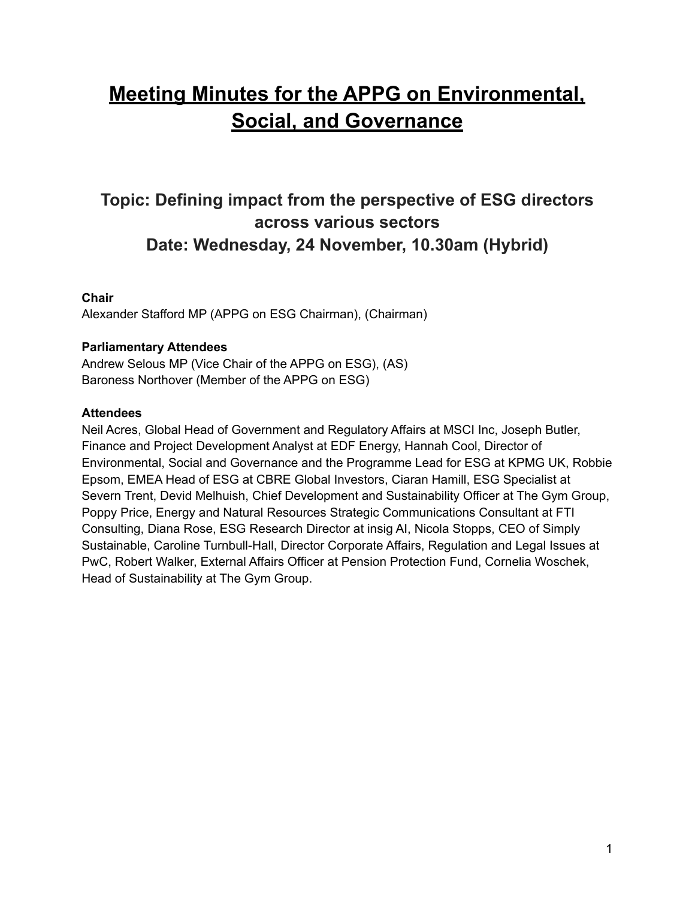# **Meeting Minutes for the APPG on Environmental, Social, and Governance**

## **Topic: Defining impact from the perspective of ESG directors across various sectors Date: Wednesday, 24 November, 10.30am (Hybrid)**

### **Chair**

Alexander Stafford MP (APPG on ESG Chairman), (Chairman)

#### **Parliamentary Attendees**

Andrew Selous MP (Vice Chair of the APPG on ESG), (AS) Baroness Northover (Member of the APPG on ESG)

#### **Attendees**

Neil Acres, Global Head of Government and Regulatory Affairs at MSCI Inc, Joseph Butler, Finance and Project Development Analyst at EDF Energy, Hannah Cool, Director of Environmental, Social and Governance and the Programme Lead for ESG at KPMG UK, Robbie Epsom, EMEA Head of ESG at CBRE Global Investors, Ciaran Hamill, ESG Specialist at Severn Trent, Devid Melhuish, Chief Development and Sustainability Officer at The Gym Group, Poppy Price, Energy and Natural Resources Strategic Communications Consultant at FTI Consulting, Diana Rose, ESG Research Director at insig AI, Nicola Stopps, CEO of Simply Sustainable, Caroline Turnbull-Hall, Director Corporate Affairs, Regulation and Legal Issues at PwC, Robert Walker, External Affairs Officer at Pension Protection Fund, Cornelia Woschek, Head of Sustainability at The Gym Group.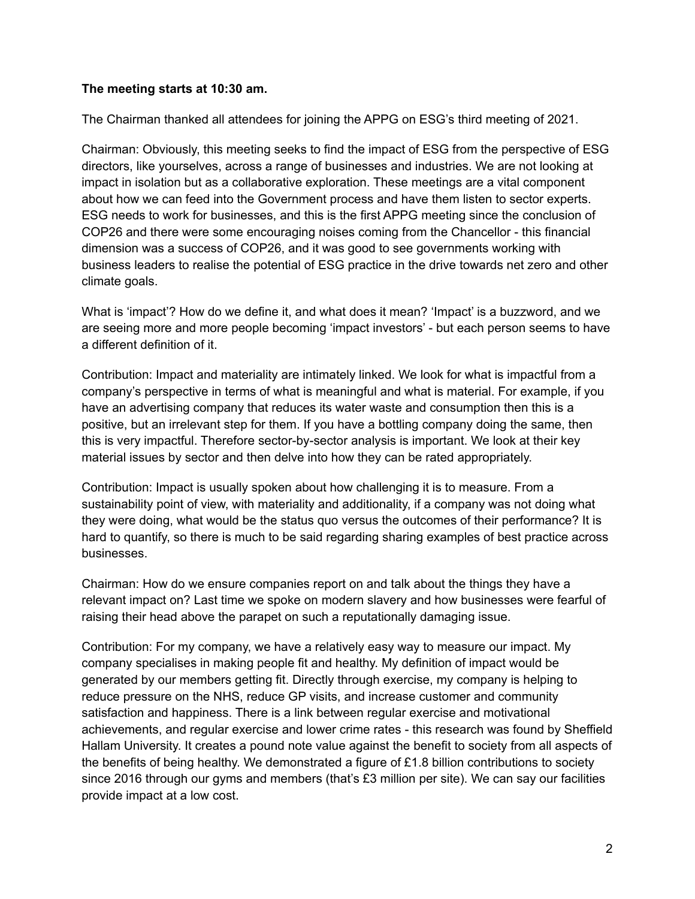#### **The meeting starts at 10:30 am.**

The Chairman thanked all attendees for joining the APPG on ESG's third meeting of 2021.

Chairman: Obviously, this meeting seeks to find the impact of ESG from the perspective of ESG directors, like yourselves, across a range of businesses and industries. We are not looking at impact in isolation but as a collaborative exploration. These meetings are a vital component about how we can feed into the Government process and have them listen to sector experts. ESG needs to work for businesses, and this is the first APPG meeting since the conclusion of COP26 and there were some encouraging noises coming from the Chancellor - this financial dimension was a success of COP26, and it was good to see governments working with business leaders to realise the potential of ESG practice in the drive towards net zero and other climate goals.

What is 'impact'? How do we define it, and what does it mean? 'Impact' is a buzzword, and we are seeing more and more people becoming 'impact investors' - but each person seems to have a different definition of it.

Contribution: Impact and materiality are intimately linked. We look for what is impactful from a company's perspective in terms of what is meaningful and what is material. For example, if you have an advertising company that reduces its water waste and consumption then this is a positive, but an irrelevant step for them. If you have a bottling company doing the same, then this is very impactful. Therefore sector-by-sector analysis is important. We look at their key material issues by sector and then delve into how they can be rated appropriately.

Contribution: Impact is usually spoken about how challenging it is to measure. From a sustainability point of view, with materiality and additionality, if a company was not doing what they were doing, what would be the status quo versus the outcomes of their performance? It is hard to quantify, so there is much to be said regarding sharing examples of best practice across businesses.

Chairman: How do we ensure companies report on and talk about the things they have a relevant impact on? Last time we spoke on modern slavery and how businesses were fearful of raising their head above the parapet on such a reputationally damaging issue.

Contribution: For my company, we have a relatively easy way to measure our impact. My company specialises in making people fit and healthy. My definition of impact would be generated by our members getting fit. Directly through exercise, my company is helping to reduce pressure on the NHS, reduce GP visits, and increase customer and community satisfaction and happiness. There is a link between regular exercise and motivational achievements, and regular exercise and lower crime rates - this research was found by Sheffield Hallam University. It creates a pound note value against the benefit to society from all aspects of the benefits of being healthy. We demonstrated a figure of £1.8 billion contributions to society since 2016 through our gyms and members (that's £3 million per site). We can say our facilities provide impact at a low cost.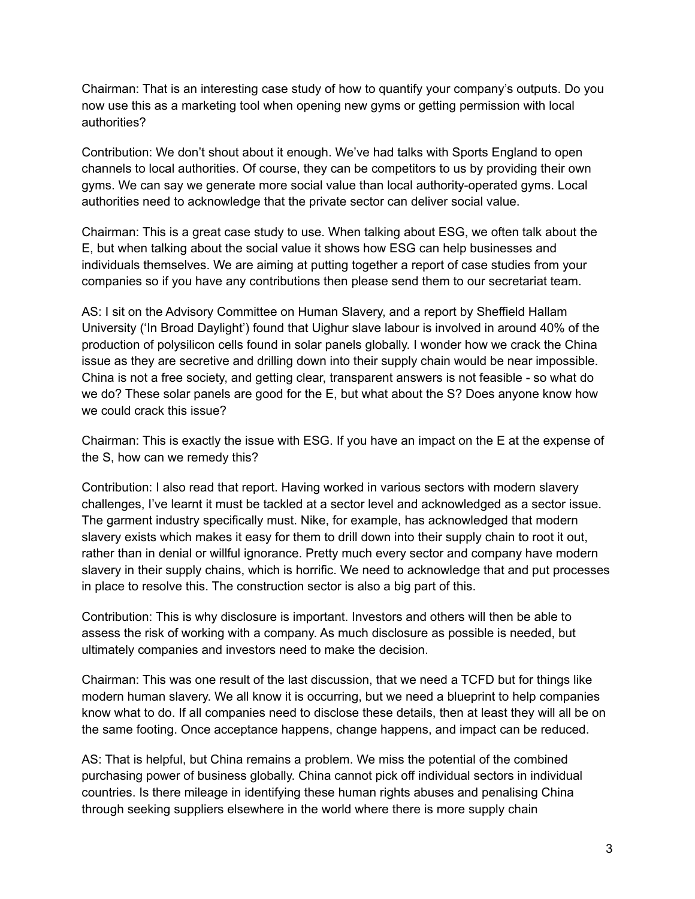Chairman: That is an interesting case study of how to quantify your company's outputs. Do you now use this as a marketing tool when opening new gyms or getting permission with local authorities?

Contribution: We don't shout about it enough. We've had talks with Sports England to open channels to local authorities. Of course, they can be competitors to us by providing their own gyms. We can say we generate more social value than local authority-operated gyms. Local authorities need to acknowledge that the private sector can deliver social value.

Chairman: This is a great case study to use. When talking about ESG, we often talk about the E, but when talking about the social value it shows how ESG can help businesses and individuals themselves. We are aiming at putting together a report of case studies from your companies so if you have any contributions then please send them to our secretariat team.

AS: I sit on the Advisory Committee on Human Slavery, and a report by Sheffield Hallam University ('In Broad Daylight') found that Uighur slave labour is involved in around 40% of the production of polysilicon cells found in solar panels globally. I wonder how we crack the China issue as they are secretive and drilling down into their supply chain would be near impossible. China is not a free society, and getting clear, transparent answers is not feasible - so what do we do? These solar panels are good for the E, but what about the S? Does anyone know how we could crack this issue?

Chairman: This is exactly the issue with ESG. If you have an impact on the E at the expense of the S, how can we remedy this?

Contribution: I also read that report. Having worked in various sectors with modern slavery challenges, I've learnt it must be tackled at a sector level and acknowledged as a sector issue. The garment industry specifically must. Nike, for example, has acknowledged that modern slavery exists which makes it easy for them to drill down into their supply chain to root it out, rather than in denial or willful ignorance. Pretty much every sector and company have modern slavery in their supply chains, which is horrific. We need to acknowledge that and put processes in place to resolve this. The construction sector is also a big part of this.

Contribution: This is why disclosure is important. Investors and others will then be able to assess the risk of working with a company. As much disclosure as possible is needed, but ultimately companies and investors need to make the decision.

Chairman: This was one result of the last discussion, that we need a TCFD but for things like modern human slavery. We all know it is occurring, but we need a blueprint to help companies know what to do. If all companies need to disclose these details, then at least they will all be on the same footing. Once acceptance happens, change happens, and impact can be reduced.

AS: That is helpful, but China remains a problem. We miss the potential of the combined purchasing power of business globally. China cannot pick off individual sectors in individual countries. Is there mileage in identifying these human rights abuses and penalising China through seeking suppliers elsewhere in the world where there is more supply chain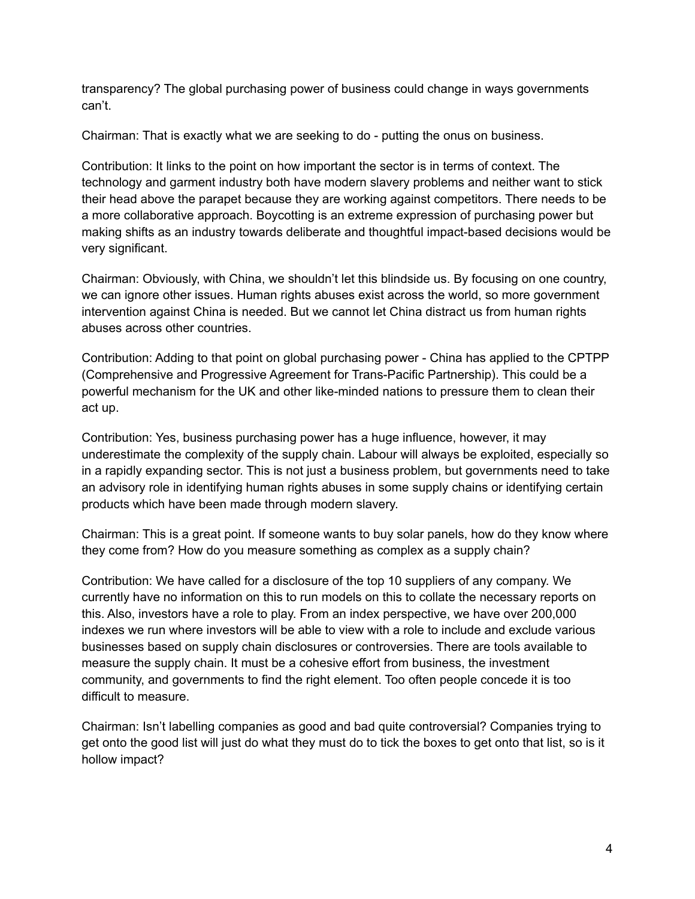transparency? The global purchasing power of business could change in ways governments can't.

Chairman: That is exactly what we are seeking to do - putting the onus on business.

Contribution: It links to the point on how important the sector is in terms of context. The technology and garment industry both have modern slavery problems and neither want to stick their head above the parapet because they are working against competitors. There needs to be a more collaborative approach. Boycotting is an extreme expression of purchasing power but making shifts as an industry towards deliberate and thoughtful impact-based decisions would be very significant.

Chairman: Obviously, with China, we shouldn't let this blindside us. By focusing on one country, we can ignore other issues. Human rights abuses exist across the world, so more government intervention against China is needed. But we cannot let China distract us from human rights abuses across other countries.

Contribution: Adding to that point on global purchasing power - China has applied to the CPTPP (Comprehensive and Progressive Agreement for Trans-Pacific Partnership). This could be a powerful mechanism for the UK and other like-minded nations to pressure them to clean their act up.

Contribution: Yes, business purchasing power has a huge influence, however, it may underestimate the complexity of the supply chain. Labour will always be exploited, especially so in a rapidly expanding sector. This is not just a business problem, but governments need to take an advisory role in identifying human rights abuses in some supply chains or identifying certain products which have been made through modern slavery.

Chairman: This is a great point. If someone wants to buy solar panels, how do they know where they come from? How do you measure something as complex as a supply chain?

Contribution: We have called for a disclosure of the top 10 suppliers of any company. We currently have no information on this to run models on this to collate the necessary reports on this. Also, investors have a role to play. From an index perspective, we have over 200,000 indexes we run where investors will be able to view with a role to include and exclude various businesses based on supply chain disclosures or controversies. There are tools available to measure the supply chain. It must be a cohesive effort from business, the investment community, and governments to find the right element. Too often people concede it is too difficult to measure.

Chairman: Isn't labelling companies as good and bad quite controversial? Companies trying to get onto the good list will just do what they must do to tick the boxes to get onto that list, so is it hollow impact?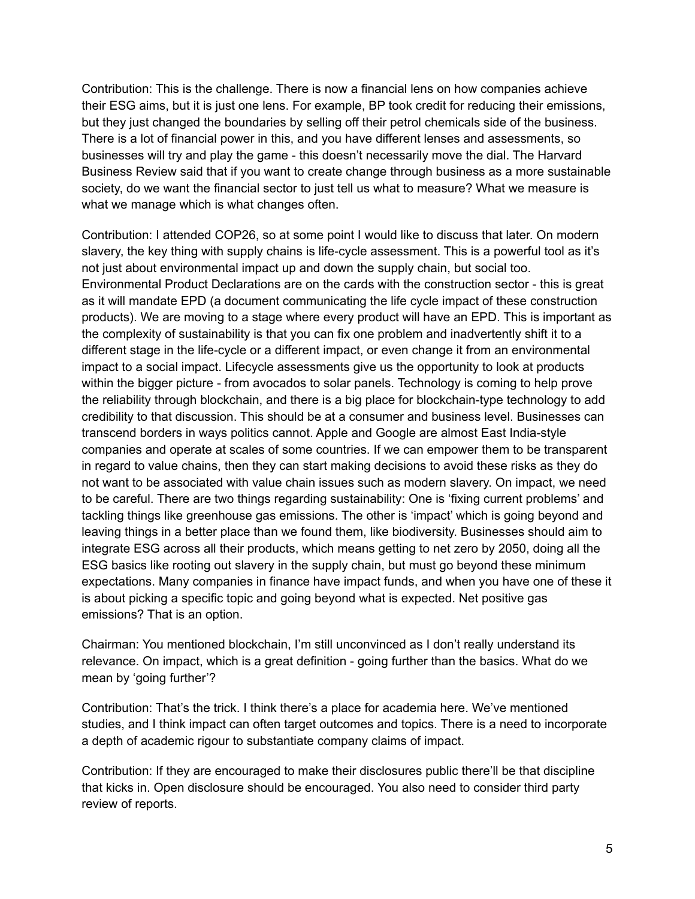Contribution: This is the challenge. There is now a financial lens on how companies achieve their ESG aims, but it is just one lens. For example, BP took credit for reducing their emissions, but they just changed the boundaries by selling off their petrol chemicals side of the business. There is a lot of financial power in this, and you have different lenses and assessments, so businesses will try and play the game - this doesn't necessarily move the dial. The Harvard Business Review said that if you want to create change through business as a more sustainable society, do we want the financial sector to just tell us what to measure? What we measure is what we manage which is what changes often.

Contribution: I attended COP26, so at some point I would like to discuss that later. On modern slavery, the key thing with supply chains is life-cycle assessment. This is a powerful tool as it's not just about environmental impact up and down the supply chain, but social too. Environmental Product Declarations are on the cards with the construction sector - this is great as it will mandate EPD (a document communicating the life cycle impact of these construction products). We are moving to a stage where every product will have an EPD. This is important as the complexity of sustainability is that you can fix one problem and inadvertently shift it to a different stage in the life-cycle or a different impact, or even change it from an environmental impact to a social impact. Lifecycle assessments give us the opportunity to look at products within the bigger picture - from avocados to solar panels. Technology is coming to help prove the reliability through blockchain, and there is a big place for blockchain-type technology to add credibility to that discussion. This should be at a consumer and business level. Businesses can transcend borders in ways politics cannot. Apple and Google are almost East India-style companies and operate at scales of some countries. If we can empower them to be transparent in regard to value chains, then they can start making decisions to avoid these risks as they do not want to be associated with value chain issues such as modern slavery. On impact, we need to be careful. There are two things regarding sustainability: One is 'fixing current problems' and tackling things like greenhouse gas emissions. The other is 'impact' which is going beyond and leaving things in a better place than we found them, like biodiversity. Businesses should aim to integrate ESG across all their products, which means getting to net zero by 2050, doing all the ESG basics like rooting out slavery in the supply chain, but must go beyond these minimum expectations. Many companies in finance have impact funds, and when you have one of these it is about picking a specific topic and going beyond what is expected. Net positive gas emissions? That is an option.

Chairman: You mentioned blockchain, I'm still unconvinced as I don't really understand its relevance. On impact, which is a great definition - going further than the basics. What do we mean by 'going further'?

Contribution: That's the trick. I think there's a place for academia here. We've mentioned studies, and I think impact can often target outcomes and topics. There is a need to incorporate a depth of academic rigour to substantiate company claims of impact.

Contribution: If they are encouraged to make their disclosures public there'll be that discipline that kicks in. Open disclosure should be encouraged. You also need to consider third party review of reports.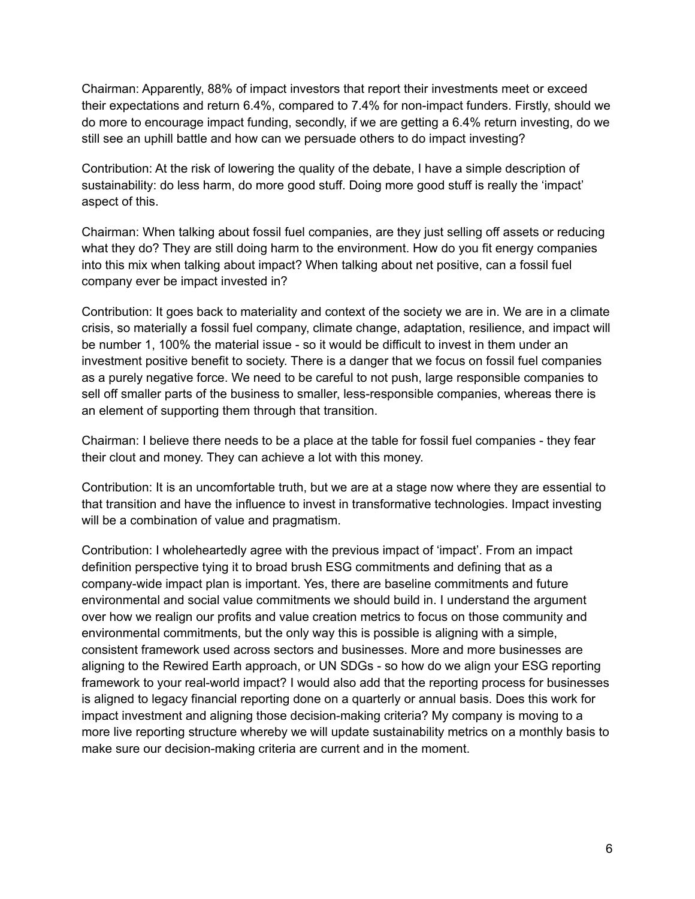Chairman: Apparently, 88% of impact investors that report their investments meet or exceed their expectations and return 6.4%, compared to 7.4% for non-impact funders. Firstly, should we do more to encourage impact funding, secondly, if we are getting a 6.4% return investing, do we still see an uphill battle and how can we persuade others to do impact investing?

Contribution: At the risk of lowering the quality of the debate, I have a simple description of sustainability: do less harm, do more good stuff. Doing more good stuff is really the 'impact' aspect of this.

Chairman: When talking about fossil fuel companies, are they just selling off assets or reducing what they do? They are still doing harm to the environment. How do you fit energy companies into this mix when talking about impact? When talking about net positive, can a fossil fuel company ever be impact invested in?

Contribution: It goes back to materiality and context of the society we are in. We are in a climate crisis, so materially a fossil fuel company, climate change, adaptation, resilience, and impact will be number 1, 100% the material issue - so it would be difficult to invest in them under an investment positive benefit to society. There is a danger that we focus on fossil fuel companies as a purely negative force. We need to be careful to not push, large responsible companies to sell off smaller parts of the business to smaller, less-responsible companies, whereas there is an element of supporting them through that transition.

Chairman: I believe there needs to be a place at the table for fossil fuel companies - they fear their clout and money. They can achieve a lot with this money.

Contribution: It is an uncomfortable truth, but we are at a stage now where they are essential to that transition and have the influence to invest in transformative technologies. Impact investing will be a combination of value and pragmatism.

Contribution: I wholeheartedly agree with the previous impact of 'impact'. From an impact definition perspective tying it to broad brush ESG commitments and defining that as a company-wide impact plan is important. Yes, there are baseline commitments and future environmental and social value commitments we should build in. I understand the argument over how we realign our profits and value creation metrics to focus on those community and environmental commitments, but the only way this is possible is aligning with a simple, consistent framework used across sectors and businesses. More and more businesses are aligning to the Rewired Earth approach, or UN SDGs - so how do we align your ESG reporting framework to your real-world impact? I would also add that the reporting process for businesses is aligned to legacy financial reporting done on a quarterly or annual basis. Does this work for impact investment and aligning those decision-making criteria? My company is moving to a more live reporting structure whereby we will update sustainability metrics on a monthly basis to make sure our decision-making criteria are current and in the moment.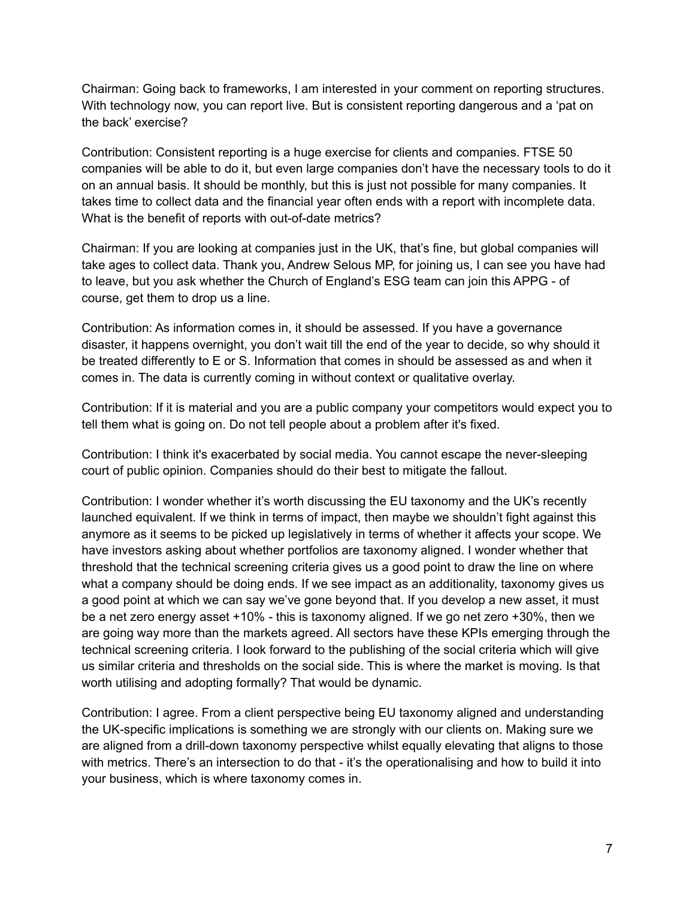Chairman: Going back to frameworks, I am interested in your comment on reporting structures. With technology now, you can report live. But is consistent reporting dangerous and a 'pat on the back' exercise?

Contribution: Consistent reporting is a huge exercise for clients and companies. FTSE 50 companies will be able to do it, but even large companies don't have the necessary tools to do it on an annual basis. It should be monthly, but this is just not possible for many companies. It takes time to collect data and the financial year often ends with a report with incomplete data. What is the benefit of reports with out-of-date metrics?

Chairman: If you are looking at companies just in the UK, that's fine, but global companies will take ages to collect data. Thank you, Andrew Selous MP, for joining us, I can see you have had to leave, but you ask whether the Church of England's ESG team can join this APPG - of course, get them to drop us a line.

Contribution: As information comes in, it should be assessed. If you have a governance disaster, it happens overnight, you don't wait till the end of the year to decide, so why should it be treated differently to E or S. Information that comes in should be assessed as and when it comes in. The data is currently coming in without context or qualitative overlay.

Contribution: If it is material and you are a public company your competitors would expect you to tell them what is going on. Do not tell people about a problem after it's fixed.

Contribution: I think it's exacerbated by social media. You cannot escape the never-sleeping court of public opinion. Companies should do their best to mitigate the fallout.

Contribution: I wonder whether it's worth discussing the EU taxonomy and the UK's recently launched equivalent. If we think in terms of impact, then maybe we shouldn't fight against this anymore as it seems to be picked up legislatively in terms of whether it affects your scope. We have investors asking about whether portfolios are taxonomy aligned. I wonder whether that threshold that the technical screening criteria gives us a good point to draw the line on where what a company should be doing ends. If we see impact as an additionality, taxonomy gives us a good point at which we can say we've gone beyond that. If you develop a new asset, it must be a net zero energy asset +10% - this is taxonomy aligned. If we go net zero +30%, then we are going way more than the markets agreed. All sectors have these KPIs emerging through the technical screening criteria. I look forward to the publishing of the social criteria which will give us similar criteria and thresholds on the social side. This is where the market is moving. Is that worth utilising and adopting formally? That would be dynamic.

Contribution: I agree. From a client perspective being EU taxonomy aligned and understanding the UK-specific implications is something we are strongly with our clients on. Making sure we are aligned from a drill-down taxonomy perspective whilst equally elevating that aligns to those with metrics. There's an intersection to do that - it's the operationalising and how to build it into your business, which is where taxonomy comes in.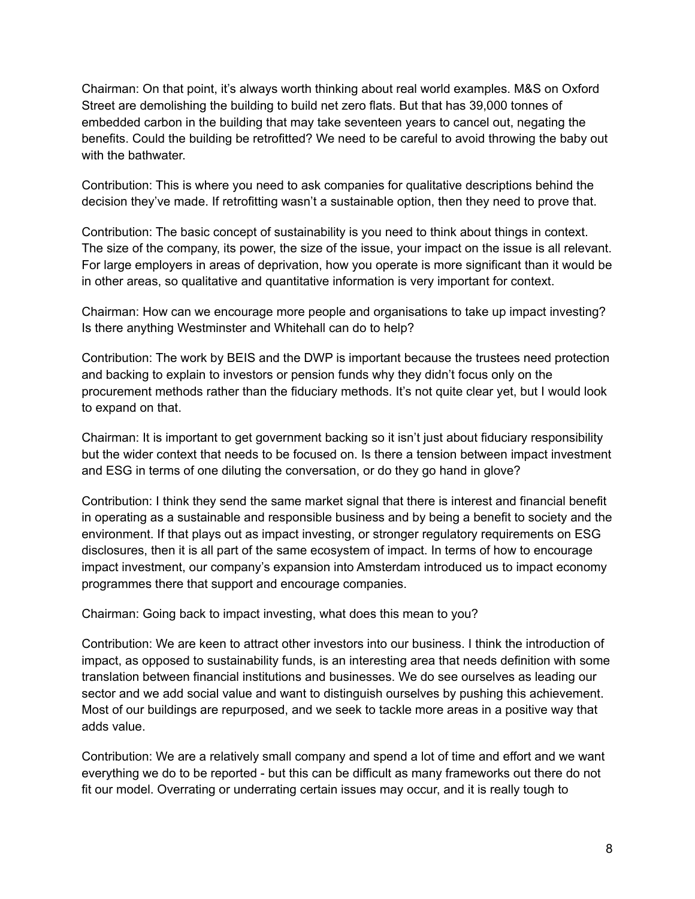Chairman: On that point, it's always worth thinking about real world examples. M&S on Oxford Street are demolishing the building to build net zero flats. But that has 39,000 tonnes of embedded carbon in the building that may take seventeen years to cancel out, negating the benefits. Could the building be retrofitted? We need to be careful to avoid throwing the baby out with the bathwater.

Contribution: This is where you need to ask companies for qualitative descriptions behind the decision they've made. If retrofitting wasn't a sustainable option, then they need to prove that.

Contribution: The basic concept of sustainability is you need to think about things in context. The size of the company, its power, the size of the issue, your impact on the issue is all relevant. For large employers in areas of deprivation, how you operate is more significant than it would be in other areas, so qualitative and quantitative information is very important for context.

Chairman: How can we encourage more people and organisations to take up impact investing? Is there anything Westminster and Whitehall can do to help?

Contribution: The work by BEIS and the DWP is important because the trustees need protection and backing to explain to investors or pension funds why they didn't focus only on the procurement methods rather than the fiduciary methods. It's not quite clear yet, but I would look to expand on that.

Chairman: It is important to get government backing so it isn't just about fiduciary responsibility but the wider context that needs to be focused on. Is there a tension between impact investment and ESG in terms of one diluting the conversation, or do they go hand in glove?

Contribution: I think they send the same market signal that there is interest and financial benefit in operating as a sustainable and responsible business and by being a benefit to society and the environment. If that plays out as impact investing, or stronger regulatory requirements on ESG disclosures, then it is all part of the same ecosystem of impact. In terms of how to encourage impact investment, our company's expansion into Amsterdam introduced us to impact economy programmes there that support and encourage companies.

Chairman: Going back to impact investing, what does this mean to you?

Contribution: We are keen to attract other investors into our business. I think the introduction of impact, as opposed to sustainability funds, is an interesting area that needs definition with some translation between financial institutions and businesses. We do see ourselves as leading our sector and we add social value and want to distinguish ourselves by pushing this achievement. Most of our buildings are repurposed, and we seek to tackle more areas in a positive way that adds value.

Contribution: We are a relatively small company and spend a lot of time and effort and we want everything we do to be reported - but this can be difficult as many frameworks out there do not fit our model. Overrating or underrating certain issues may occur, and it is really tough to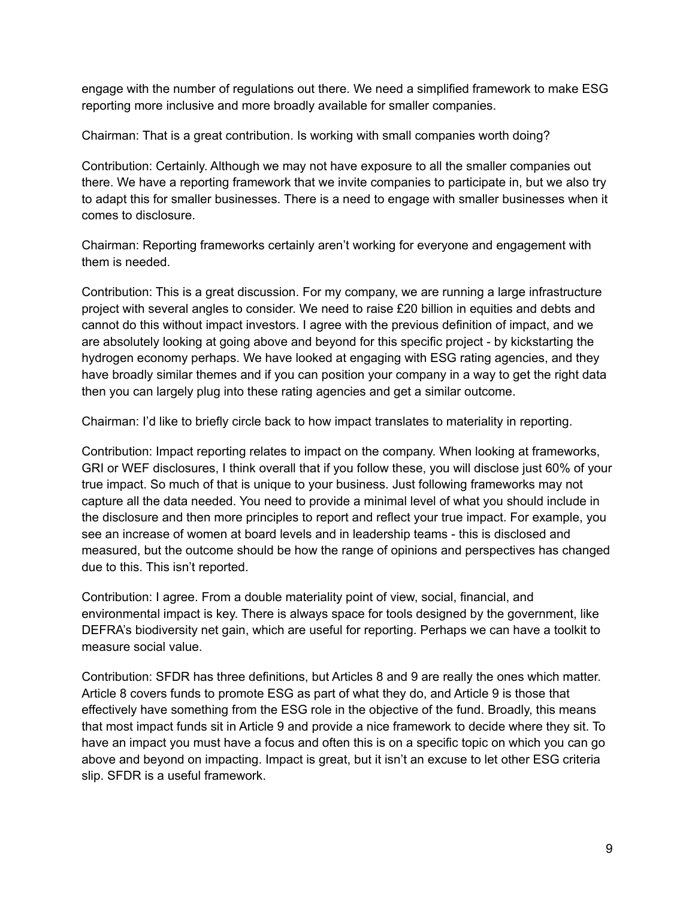engage with the number of regulations out there. We need a simplified framework to make ESG reporting more inclusive and more broadly available for smaller companies.

Chairman: That is a great contribution. Is working with small companies worth doing?

Contribution: Certainly. Although we may not have exposure to all the smaller companies out there. We have a reporting framework that we invite companies to participate in, but we also try to adapt this for smaller businesses. There is a need to engage with smaller businesses when it comes to disclosure.

Chairman: Reporting frameworks certainly aren't working for everyone and engagement with them is needed.

Contribution: This is a great discussion. For my company, we are running a large infrastructure project with several angles to consider. We need to raise £20 billion in equities and debts and cannot do this without impact investors. I agree with the previous definition of impact, and we are absolutely looking at going above and beyond for this specific project - by kickstarting the hydrogen economy perhaps. We have looked at engaging with ESG rating agencies, and they have broadly similar themes and if you can position your company in a way to get the right data then you can largely plug into these rating agencies and get a similar outcome.

Chairman: I'd like to briefly circle back to how impact translates to materiality in reporting.

Contribution: Impact reporting relates to impact on the company. When looking at frameworks, GRI or WEF disclosures, I think overall that if you follow these, you will disclose just 60% of your true impact. So much of that is unique to your business. Just following frameworks may not capture all the data needed. You need to provide a minimal level of what you should include in the disclosure and then more principles to report and reflect your true impact. For example, you see an increase of women at board levels and in leadership teams - this is disclosed and measured, but the outcome should be how the range of opinions and perspectives has changed due to this. This isn't reported.

Contribution: I agree. From a double materiality point of view, social, financial, and environmental impact is key. There is always space for tools designed by the government, like DEFRA's biodiversity net gain, which are useful for reporting. Perhaps we can have a toolkit to measure social value.

Contribution: SFDR has three definitions, but Articles 8 and 9 are really the ones which matter. Article 8 covers funds to promote ESG as part of what they do, and Article 9 is those that effectively have something from the ESG role in the objective of the fund. Broadly, this means that most impact funds sit in Article 9 and provide a nice framework to decide where they sit. To have an impact you must have a focus and often this is on a specific topic on which you can go above and beyond on impacting. Impact is great, but it isn't an excuse to let other ESG criteria slip. SFDR is a useful framework.